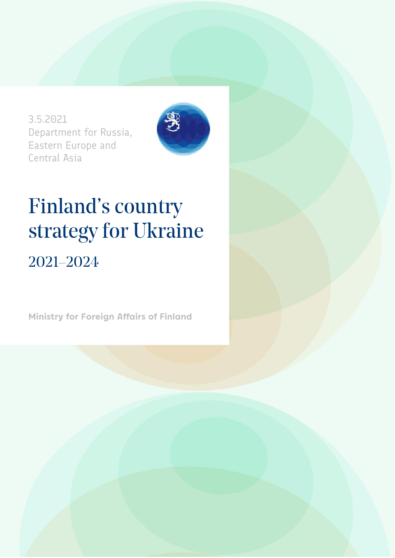3.5.2021 Department for Russia, Eastern Europe and Central Asia



# Finland's country strategy for Ukraine 2021–2024

**Ministry for Foreign Affairs of Finland**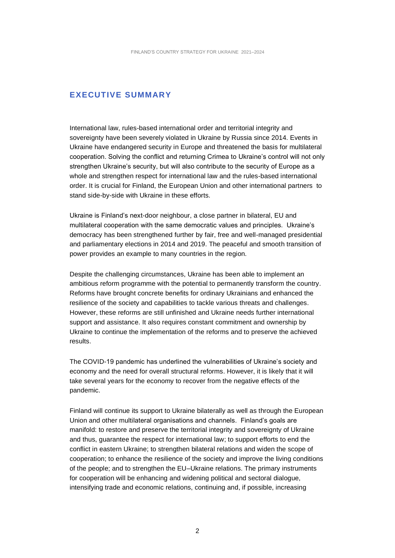#### **EXECUTIVE SUMMARY**

International law, rules-based international order and territorial integrity and sovereignty have been severely violated in Ukraine by Russia since 2014. Events in Ukraine have endangered security in Europe and threatened the basis for multilateral cooperation. Solving the conflict and returning Crimea to Ukraine's control will not only strengthen Ukraine's security, but will also contribute to the security of Europe as a whole and strengthen respect for international law and the rules-based international order. It is crucial for Finland, the European Union and other international partners to stand side-by-side with Ukraine in these efforts.

Ukraine is Finland's next-door neighbour, a close partner in bilateral, EU and multilateral cooperation with the same democratic values and principles. Ukraine's democracy has been strengthened further by fair, free and well-managed presidential and parliamentary elections in 2014 and 2019. The peaceful and smooth transition of power provides an example to many countries in the region.

Despite the challenging circumstances, Ukraine has been able to implement an ambitious reform programme with the potential to permanently transform the country. Reforms have brought concrete benefits for ordinary Ukrainians and enhanced the resilience of the society and capabilities to tackle various threats and challenges. However, these reforms are still unfinished and Ukraine needs further international support and assistance. It also requires constant commitment and ownership by Ukraine to continue the implementation of the reforms and to preserve the achieved results.

The COVID-19 pandemic has underlined the vulnerabilities of Ukraine's society and economy and the need for overall structural reforms. However, it is likely that it will take several years for the economy to recover from the negative effects of the pandemic.

Finland will continue its support to Ukraine bilaterally as well as through the European Union and other multilateral organisations and channels. Finland's goals are manifold: to restore and preserve the territorial integrity and sovereignty of Ukraine and thus, guarantee the respect for international law; to support efforts to end the conflict in eastern Ukraine; to strengthen bilateral relations and widen the scope of cooperation; to enhance the resilience of the society and improve the living conditions of the people; and to strengthen the EU–Ukraine relations. The primary instruments for cooperation will be enhancing and widening political and sectoral dialogue, intensifying trade and economic relations, continuing and, if possible, increasing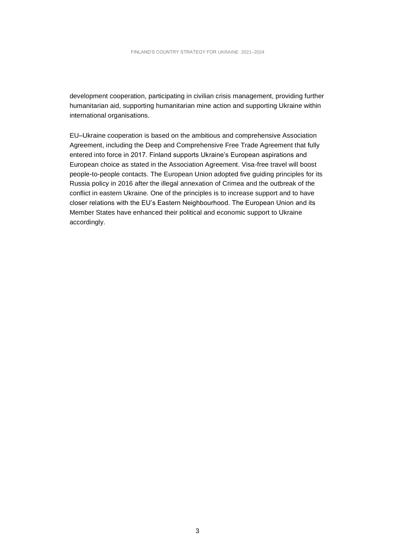development cooperation, participating in civilian crisis management, providing further humanitarian aid, supporting humanitarian mine action and supporting Ukraine within international organisations.

EU–Ukraine cooperation is based on the ambitious and comprehensive Association Agreement, including the Deep and Comprehensive Free Trade Agreement that fully entered into force in 2017. Finland supports Ukraine's European aspirations and European choice as stated in the Association Agreement. Visa-free travel will boost people-to-people contacts. The European Union adopted five guiding principles for its Russia policy in 2016 after the illegal annexation of Crimea and the outbreak of the conflict in eastern Ukraine. One of the principles is to increase support and to have closer relations with the EU's Eastern Neighbourhood. The European Union and its Member States have enhanced their political and economic support to Ukraine accordingly.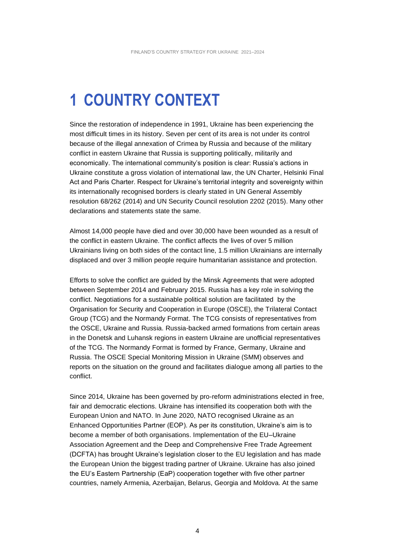## **1 COUNTRY CONTEXT**

Since the restoration of independence in 1991, Ukraine has been experiencing the most difficult times in its history. Seven per cent of its area is not under its control because of the illegal annexation of Crimea by Russia and because of the military conflict in eastern Ukraine that Russia is supporting politically, militarily and economically. The international community's position is clear: Russia's actions in Ukraine constitute a gross violation of international law, the UN Charter, Helsinki Final Act and Paris Charter. Respect for Ukraine's territorial integrity and sovereignty within its internationally recognised borders is clearly stated in UN General Assembly resolution 68/262 (2014) and UN Security Council resolution 2202 (2015). Many other declarations and statements state the same.

Almost 14,000 people have died and over 30,000 have been wounded as a result of the conflict in eastern Ukraine. The conflict affects the lives of over 5 million Ukrainians living on both sides of the contact line, 1.5 million Ukrainians are internally displaced and over 3 million people require humanitarian assistance and protection.

Efforts to solve the conflict are guided by the Minsk Agreements that were adopted between September 2014 and February 2015. Russia has a key role in solving the conflict. Negotiations for a sustainable political solution are facilitated by the Organisation for Security and Cooperation in Europe (OSCE), the Trilateral Contact Group (TCG) and the Normandy Format. The TCG consists of representatives from the OSCE, Ukraine and Russia. Russia-backed armed formations from certain areas in the Donetsk and Luhansk regions in eastern Ukraine are unofficial representatives of the TCG. The Normandy Format is formed by France, Germany, Ukraine and Russia. The OSCE Special Monitoring Mission in Ukraine (SMM) observes and reports on the situation on the ground and facilitates dialogue among all parties to the conflict.

Since 2014, Ukraine has been governed by pro-reform administrations elected in free, fair and democratic elections. Ukraine has intensified its cooperation both with the European Union and NATO. In June 2020, NATO recognised Ukraine as an Enhanced Opportunities Partner (EOP). As per its constitution, Ukraine's aim is to become a member of both organisations. Implementation of the EU–Ukraine Association Agreement and the Deep and Comprehensive Free Trade Agreement (DCFTA) has brought Ukraine's legislation closer to the EU legislation and has made the European Union the biggest trading partner of Ukraine. Ukraine has also joined the EU's Eastern Partnership (EaP) cooperation together with five other partner countries, namely Armenia, Azerbaijan, Belarus, Georgia and Moldova. At the same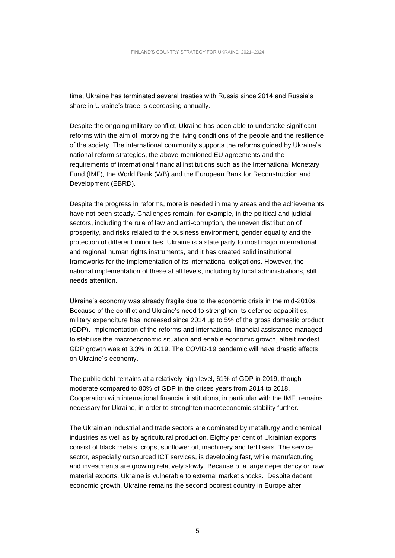time, Ukraine has terminated several treaties with Russia since 2014 and Russia's share in Ukraine's trade is decreasing annually.

Despite the ongoing military conflict, Ukraine has been able to undertake significant reforms with the aim of improving the living conditions of the people and the resilience of the society. The international community supports the reforms guided by Ukraine's national reform strategies, the above-mentioned EU agreements and the requirements of international financial institutions such as the International Monetary Fund (IMF), the World Bank (WB) and the European Bank for Reconstruction and Development (EBRD).

Despite the progress in reforms, more is needed in many areas and the achievements have not been steady. Challenges remain, for example, in the political and judicial sectors, including the rule of law and anti-corruption, the uneven distribution of prosperity, and risks related to the business environment, gender equality and the protection of different minorities. Ukraine is a state party to most major international and regional human rights instruments, and it has created solid institutional frameworks for the implementation of its international obligations. However, the national implementation of these at all levels, including by local administrations, still needs attention.

Ukraine's economy was already fragile due to the economic crisis in the mid-2010s. Because of the conflict and Ukraine's need to strengthen its defence capabilities, military expenditure has increased since 2014 up to 5% of the gross domestic product (GDP). Implementation of the reforms and international financial assistance managed to stabilise the macroeconomic situation and enable economic growth, albeit modest. GDP growth was at 3.3% in 2019. The COVID-19 pandemic will have drastic effects on Ukraine´s economy.

The public debt remains at a relatively high level, 61% of GDP in 2019, though moderate compared to 80% of GDP in the crises years from 2014 to 2018. Cooperation with international financial institutions, in particular with the IMF, remains necessary for Ukraine, in order to strenghten macroeconomic stability further.

The Ukrainian industrial and trade sectors are dominated by metallurgy and chemical industries as well as by agricultural production. Eighty per cent of Ukrainian exports consist of black metals, crops, sunflower oil, machinery and fertilisers. The service sector, especially outsourced ICT services, is developing fast, while manufacturing and investments are growing relatively slowly. Because of a large dependency on raw material exports, Ukraine is vulnerable to external market shocks. Despite decent economic growth, Ukraine remains the second poorest country in Europe after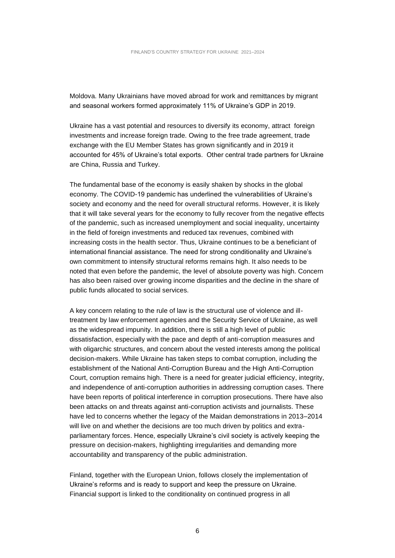Moldova. Many Ukrainians have moved abroad for work and remittances by migrant and seasonal workers formed approximately 11% of Ukraine's GDP in 2019.

Ukraine has a vast potential and resources to diversify its economy, attract foreign investments and increase foreign trade. Owing to the free trade agreement, trade exchange with the EU Member States has grown significantly and in 2019 it accounted for 45% of Ukraine's total exports. Other central trade partners for Ukraine are China, Russia and Turkey.

The fundamental base of the economy is easily shaken by shocks in the global economy. The COVID-19 pandemic has underlined the vulnerabilities of Ukraine's society and economy and the need for overall structural reforms. However, it is likely that it will take several years for the economy to fully recover from the negative effects of the pandemic, such as increased unemployment and social inequality, uncertainty in the field of foreign investments and reduced tax revenues, combined with increasing costs in the health sector. Thus, Ukraine continues to be a beneficiant of international financial assistance. The need for strong conditionality and Ukraine's own commitment to intensify structural reforms remains high. It also needs to be noted that even before the pandemic, the level of absolute poverty was high. Concern has also been raised over growing income disparities and the decline in the share of public funds allocated to social services.

A key concern relating to the rule of law is the structural use of violence and illtreatment by law enforcement agencies and the Security Service of Ukraine, as well as the widespread impunity. In addition, there is still a high level of public dissatisfaction, especially with the pace and depth of anti-corruption measures and with oligarchic structures, and concern about the vested interests among the political decision-makers. While Ukraine has taken steps to combat corruption, including the establishment of the National Anti-Corruption Bureau and the High Anti-Corruption Court, corruption remains high. There is a need for greater judicial efficiency, integrity, and independence of anti-corruption authorities in addressing corruption cases. There have been reports of political interference in corruption prosecutions. There have also been attacks on and threats against anti-corruption activists and journalists. These have led to concerns whether the legacy of the Maidan demonstrations in 2013–2014 will live on and whether the decisions are too much driven by politics and extraparliamentary forces. Hence, especially Ukraine's civil society is actively keeping the pressure on decision-makers, highlighting irregularities and demanding more accountability and transparency of the public administration.

Finland, together with the European Union, follows closely the implementation of Ukraine's reforms and is ready to support and keep the pressure on Ukraine. Financial support is linked to the conditionality on continued progress in all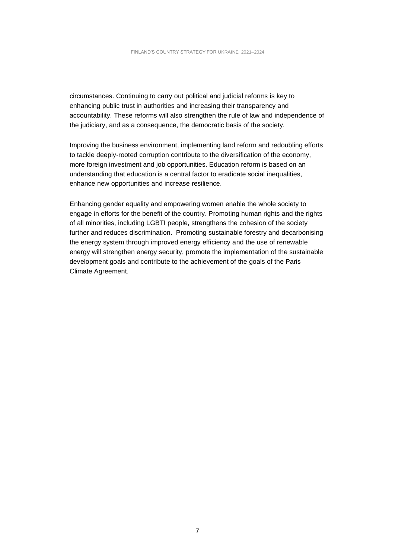circumstances. Continuing to carry out political and judicial reforms is key to enhancing public trust in authorities and increasing their transparency and accountability. These reforms will also strengthen the rule of law and independence of the judiciary, and as a consequence, the democratic basis of the society.

Improving the business environment, implementing land reform and redoubling efforts to tackle deeply-rooted corruption contribute to the diversification of the economy, more foreign investment and job opportunities. Education reform is based on an understanding that education is a central factor to eradicate social inequalities, enhance new opportunities and increase resilience.

Enhancing gender equality and empowering women enable the whole society to engage in efforts for the benefit of the country. Promoting human rights and the rights of all minorities, including LGBTI people, strengthens the cohesion of the society further and reduces discrimination. Promoting sustainable forestry and decarbonising the energy system through improved energy efficiency and the use of renewable energy will strengthen energy security, promote the implementation of the sustainable development goals and contribute to the achievement of the goals of the Paris Climate Agreement.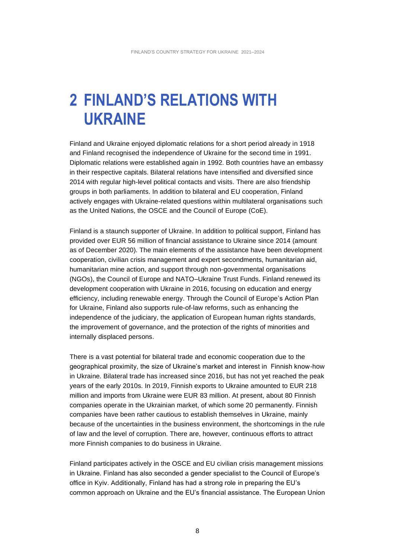## **2 FINLAND'S RELATIONS WITH UKRAINE**

Finland and Ukraine enjoyed diplomatic relations for a short period already in 1918 and Finland recognised the independence of Ukraine for the second time in 1991. Diplomatic relations were established again in 1992. Both countries have an embassy in their respective capitals. Bilateral relations have intensified and diversified since 2014 with regular high-level political contacts and visits. There are also friendship groups in both parliaments. In addition to bilateral and EU cooperation, Finland actively engages with Ukraine-related questions within multilateral organisations such as the United Nations, the OSCE and the Council of Europe (CoE).

Finland is a staunch supporter of Ukraine. In addition to political support, Finland has provided over EUR 56 million of financial assistance to Ukraine since 2014 (amount as of December 2020). The main elements of the assistance have been development cooperation, civilian crisis management and expert secondments, humanitarian aid, humanitarian mine action, and support through non-governmental organisations (NGOs), the Council of Europe and NATO–Ukraine Trust Funds. Finland renewed its development cooperation with Ukraine in 2016, focusing on education and energy efficiency, including renewable energy. Through the Council of Europe's Action Plan for Ukraine, Finland also supports rule-of-law reforms, such as enhancing the independence of the judiciary, the application of European human rights standards, the improvement of governance, and the protection of the rights of minorities and internally displaced persons.

There is a vast potential for bilateral trade and economic cooperation due to the geographical proximity, the size of Ukraine's market and interest in Finnish know-how in Ukraine. Bilateral trade has increased since 2016, but has not yet reached the peak years of the early 2010s. In 2019, Finnish exports to Ukraine amounted to EUR 218 million and imports from Ukraine were EUR 83 million. At present, about 80 Finnish companies operate in the Ukrainian market, of which some 20 permanently. Finnish companies have been rather cautious to establish themselves in Ukraine, mainly because of the uncertainties in the business environment, the shortcomings in the rule of law and the level of corruption. There are, however, continuous efforts to attract more Finnish companies to do business in Ukraine.

Finland participates actively in the OSCE and EU civilian crisis management missions in Ukraine. Finland has also seconded a gender specialist to the Council of Europe's office in Kyiv. Additionally, Finland has had a strong role in preparing the EU's common approach on Ukraine and the EU's financial assistance. The European Union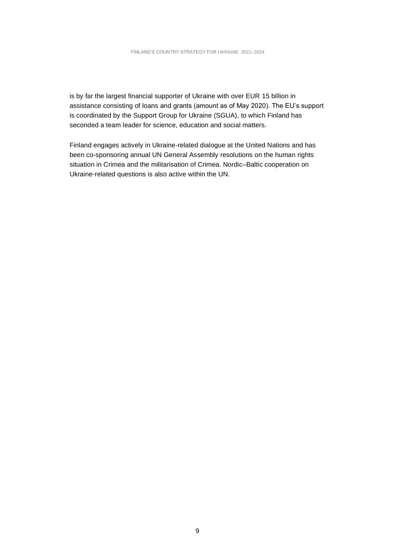is by far the largest financial supporter of Ukraine with over EUR 15 billion in assistance consisting of loans and grants (amount as of May 2020). The EU's support is coordinated by the Support Group for Ukraine (SGUA), to which Finland has seconded a team leader for science, education and social matters.

Finland engages actively in Ukraine-related dialogue at the United Nations and has been co-sponsoring annual UN General Assembly resolutions on the human rights situation in Crimea and the militarisation of Crimea. Nordic–Baltic cooperation on Ukraine-related questions is also active within the UN.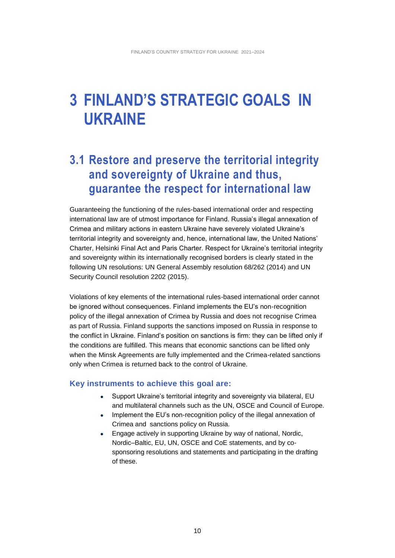## **3 FINLAND'S STRATEGIC GOALS IN UKRAINE**

### **3.1 Restore and preserve the territorial integrity and sovereignty of Ukraine and thus, guarantee the respect for international law**

Guaranteeing the functioning of the rules-based international order and respecting international law are of utmost importance for Finland. Russia's illegal annexation of Crimea and military actions in eastern Ukraine have severely violated Ukraine's territorial integrity and sovereignty and, hence, international law, the United Nations' Charter, Helsinki Final Act and Paris Charter. Respect for Ukraine's territorial integrity and sovereignty within its internationally recognised borders is clearly stated in the following UN resolutions: UN General Assembly resolution 68/262 (2014) and UN Security Council resolution 2202 (2015).

Violations of key elements of the international rules-based international order cannot be ignored without consequences. Finland implements the EU's non-recognition policy of the illegal annexation of Crimea by Russia and does not recognise Crimea as part of Russia. Finland supports the sanctions imposed on Russia in response to the conflict in Ukraine. Finland's position on sanctions is firm: they can be lifted only if the conditions are fulfilled. This means that economic sanctions can be lifted only when the Minsk Agreements are fully implemented and the Crimea-related sanctions only when Crimea is returned back to the control of Ukraine.

- Support Ukraine's territorial integrity and sovereignty via bilateral, EU and multilateral channels such as the UN, OSCE and Council of Europe.
- Implement the EU's non-recognition policy of the illegal annexation of Crimea and sanctions policy on Russia.
- Engage actively in supporting Ukraine by way of national, Nordic, Nordic–Baltic, EU, UN, OSCE and CoE statements, and by cosponsoring resolutions and statements and participating in the drafting of these.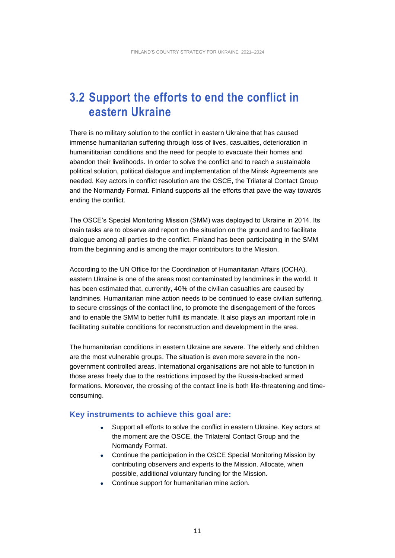### **3.2 Support the efforts to end the conflict in eastern Ukraine**

There is no military solution to the conflict in eastern Ukraine that has caused immense humanitarian suffering through loss of lives, casualties, deterioration in humanititarian conditions and the need for people to evacuate their homes and abandon their livelihoods. In order to solve the conflict and to reach a sustainable political solution, political dialogue and implementation of the Minsk Agreements are needed. Key actors in conflict resolution are the OSCE, the Trilateral Contact Group and the Normandy Format. Finland supports all the efforts that pave the way towards ending the conflict.

The OSCE's Special Monitoring Mission (SMM) was deployed to Ukraine in 2014. Its main tasks are to observe and report on the situation on the ground and to facilitate dialogue among all parties to the conflict. Finland has been participating in the SMM from the beginning and is among the major contributors to the Mission.

According to the UN Office for the Coordination of Humanitarian Affairs (OCHA), eastern Ukraine is one of the areas most contaminated by landmines in the world. It has been estimated that, currently, 40% of the civilian casualties are caused by landmines. Humanitarian mine action needs to be continued to ease civilian suffering, to secure crossings of the contact line, to promote the disengagement of the forces and to enable the SMM to better fulfill its mandate. It also plays an important role in facilitating suitable conditions for reconstruction and development in the area.

The humanitarian conditions in eastern Ukraine are severe. The elderly and children are the most vulnerable groups. The situation is even more severe in the nongovernment controlled areas. International organisations are not able to function in those areas freely due to the restrictions imposed by the Russia-backed armed formations. Moreover, the crossing of the contact line is both life-threatening and timeconsuming.

- Support all efforts to solve the conflict in eastern Ukraine. Key actors at the moment are the OSCE, the Trilateral Contact Group and the Normandy Format.
- Continue the participation in the OSCE Special Monitoring Mission by contributing observers and experts to the Mission. Allocate, when possible, additional voluntary funding for the Mission.
- Continue support for humanitarian mine action.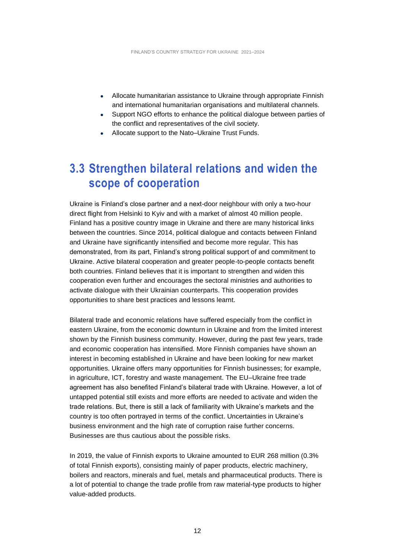- Allocate humanitarian assistance to Ukraine through appropriate Finnish and international humanitarian organisations and multilateral channels.
- Support NGO efforts to enhance the political dialogue between parties of the conflict and representatives of the civil society.
- Allocate support to the Nato–Ukraine Trust Funds.

### **3.3 Strengthen bilateral relations and widen the scope of cooperation**

Ukraine is Finland's close partner and a next-door neighbour with only a two-hour direct flight from Helsinki to Kyiv and with a market of almost 40 million people. Finland has a positive country image in Ukraine and there are many historical links between the countries. Since 2014, political dialogue and contacts between Finland and Ukraine have significantly intensified and become more regular. This has demonstrated, from its part, Finland's strong political support of and commitment to Ukraine. Active bilateral cooperation and greater people-to-people contacts benefit both countries. Finland believes that it is important to strengthen and widen this cooperation even further and encourages the sectoral ministries and authorities to activate dialogue with their Ukrainian counterparts. This cooperation provides opportunities to share best practices and lessons learnt.

Bilateral trade and economic relations have suffered especially from the conflict in eastern Ukraine, from the economic downturn in Ukraine and from the limited interest shown by the Finnish business community. However, during the past few years, trade and economic cooperation has intensified. More Finnish companies have shown an interest in becoming established in Ukraine and have been looking for new market opportunities. Ukraine offers many opportunities for Finnish businesses; for example, in agriculture, ICT, forestry and waste management. The EU–Ukraine free trade agreement has also benefited Finland's bilateral trade with Ukraine. However, a lot of untapped potential still exists and more efforts are needed to activate and widen the trade relations. But, there is still a lack of familiarity with Ukraine's markets and the country is too often portrayed in terms of the conflict. Uncertainties in Ukraine's business environment and the high rate of corruption raise further concerns. Businesses are thus cautious about the possible risks.

In 2019, the value of Finnish exports to Ukraine amounted to EUR 268 million (0.3% of total Finnish exports), consisting mainly of paper products, electric machinery, boilers and reactors, minerals and fuel, metals and pharmaceutical products. There is a lot of potential to change the trade profile from raw material-type products to higher value-added products.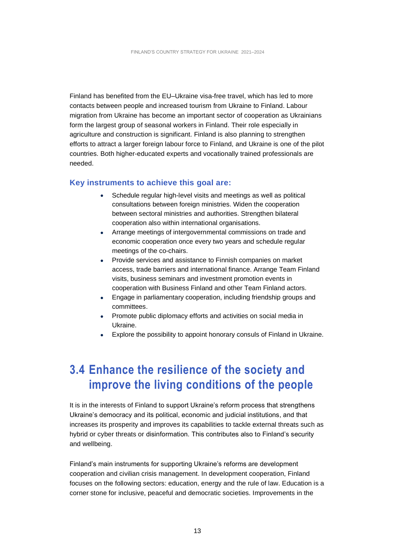Finland has benefited from the EU–Ukraine visa-free travel, which has led to more contacts between people and increased tourism from Ukraine to Finland. Labour migration from Ukraine has become an important sector of cooperation as Ukrainians form the largest group of seasonal workers in Finland. Their role especially in agriculture and construction is significant. Finland is also planning to strengthen efforts to attract a larger foreign labour force to Finland, and Ukraine is one of the pilot countries. Both higher-educated experts and vocationally trained professionals are needed.

#### **Key instruments to achieve this goal are:**

- Schedule regular high-level visits and meetings as well as political consultations between foreign ministries. Widen the cooperation between sectoral ministries and authorities. Strengthen bilateral cooperation also within international organisations.
- Arrange meetings of intergovernmental commissions on trade and economic cooperation once every two years and schedule regular meetings of the co-chairs.
- Provide services and assistance to Finnish companies on market access, trade barriers and international finance. Arrange Team Finland visits, business seminars and investment promotion events in cooperation with Business Finland and other Team Finland actors.
- Engage in parliamentary cooperation, including friendship groups and committees.
- Promote public diplomacy efforts and activities on social media in Ukraine.
- Explore the possibility to appoint honorary consuls of Finland in Ukraine.

## **3.4 Enhance the resilience of the society and improve the living conditions of the people**

It is in the interests of Finland to support Ukraine's reform process that strengthens Ukraine's democracy and its political, economic and judicial institutions, and that increases its prosperity and improves its capabilities to tackle external threats such as hybrid or cyber threats or disinformation. This contributes also to Finland's security and wellbeing.

Finland's main instruments for supporting Ukraine's reforms are development cooperation and civilian crisis management. In development cooperation, Finland focuses on the following sectors: education, energy and the rule of law. Education is a corner stone for inclusive, peaceful and democratic societies. Improvements in the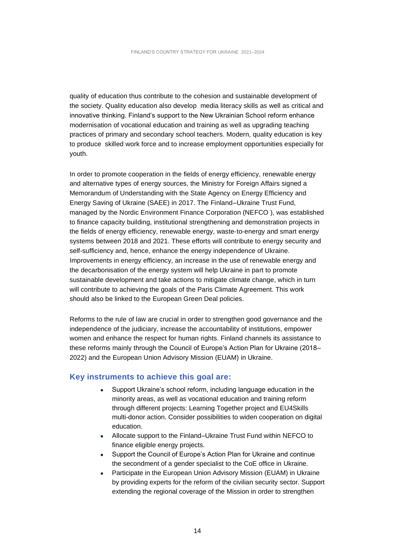quality of education thus contribute to the cohesion and sustainable development of the society. Quality education also develop media literacy skills as well as critical and innovative thinking. Finland's support to the New Ukrainian School reform enhance modernisation of vocational education and training as well as upgrading teaching practices of primary and secondary school teachers. Modern, quality education is key to produce skilled work force and to increase employment opportunities especially for youth.

In order to promote cooperation in the fields of energy efficiency, renewable energy and alternative types of energy sources, the Ministry for Foreign Affairs signed a Memorandum of Understanding with the State Agency on Energy Efficiency and Energy Saving of Ukraine (SAEE) in 2017. The Finland–Ukraine Trust Fund, managed by the Nordic Environment Finance Corporation (NEFCO ), was established to finance capacity building, institutional strengthening and demonstration projects in the fields of energy efficiency, renewable energy, waste‐to‐energy and smart energy systems between 2018 and 2021. These efforts will contribute to energy security and self-sufficiency and, hence, enhance the energy independence of Ukraine. Improvements in energy efficiency, an increase in the use of renewable energy and the decarbonisation of the energy system will help Ukraine in part to promote sustainable development and take actions to mitigate climate change, which in turn will contribute to achieving the goals of the Paris Climate Agreement. This work should also be linked to the European Green Deal policies.

Reforms to the rule of law are crucial in order to strengthen good governance and the independence of the judiciary, increase the accountability of institutions, empower women and enhance the respect for human rights. Finland channels its assistance to these reforms mainly through the Council of Europe's Action Plan for Ukraine (2018– 2022) and the European Union Advisory Mission (EUAM) in Ukraine.

- Support Ukraine's school reform, including language education in the minority areas, as well as vocational education and training reform through different projects: Learning Together project and EU4Skills multi-donor action. Consider possibilities to widen cooperation on digital education.
- Allocate support to the Finland–Ukraine Trust Fund within NEFCO to finance eligible energy projects.
- Support the Council of Europe's Action Plan for Ukraine and continue the secondment of a gender specialist to the CoE office in Ukraine.
- Participate in the European Union Advisory Mission (EUAM) in Ukraine by providing experts for the reform of the civilian security sector. Support extending the regional coverage of the Mission in order to strengthen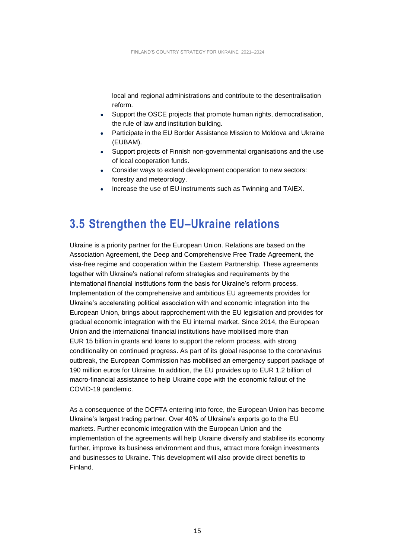local and regional administrations and contribute to the desentralisation reform.

- Support the OSCE projects that promote human rights, democratisation, the rule of law and institution building.
- Participate in the EU Border Assistance Mission to Moldova and Ukraine (EUBAM).
- Support projects of Finnish non-governmental organisations and the use of local cooperation funds.
- Consider ways to extend development cooperation to new sectors: forestry and meteorology.
- Increase the use of EU instruments such as Twinning and TAIEX.

### **3.5 Strengthen the EU–Ukraine relations**

Ukraine is a priority partner for the European Union. Relations are based on the Association Agreement, the Deep and Comprehensive Free Trade Agreement, the visa-free regime and cooperation within the Eastern Partnership. These agreements together with Ukraine's national reform strategies and requirements by the international financial institutions form the basis for Ukraine's reform process. Implementation of the comprehensive and ambitious EU agreements provides for Ukraine's accelerating political association with and economic integration into the European Union, brings about rapprochement with the EU legislation and provides for gradual economic integration with the EU internal market. Since 2014, the European Union and the international financial institutions have mobilised more than EUR 15 billion in grants and loans to support the reform process, with strong conditionality on continued progress. As part of its global response to the coronavirus outbreak, the European Commission has mobilised an emergency support package of 190 million euros for Ukraine. In addition, the EU provides up to EUR 1.2 billion of macro-financial assistance to help Ukraine cope with the economic fallout of the COVID-19 pandemic.

As a consequence of the DCFTA entering into force, the European Union has become Ukraine's largest trading partner. Over 40% of Ukraine's exports go to the EU markets. Further economic integration with the European Union and the implementation of the agreements will help Ukraine diversify and stabilise its economy further, improve its business environment and thus, attract more foreign investments and businesses to Ukraine. This development will also provide direct benefits to Finland.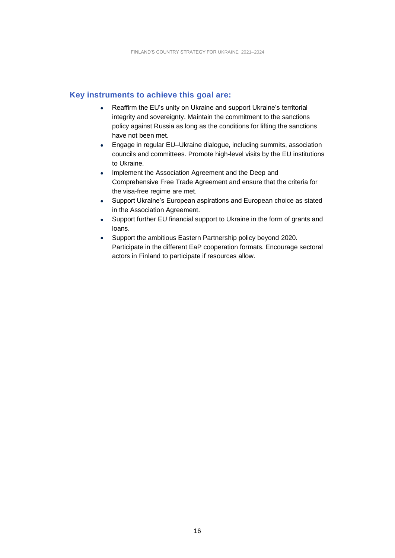- Reaffirm the EU's unity on Ukraine and support Ukraine's territorial integrity and sovereignty. Maintain the commitment to the sanctions policy against Russia as long as the conditions for lifting the sanctions have not been met.
- Engage in regular EU–Ukraine dialogue, including summits, association councils and committees. Promote high-level visits by the EU institutions to Ukraine.
- Implement the Association Agreement and the Deep and Comprehensive Free Trade Agreement and ensure that the criteria for the visa-free regime are met.
- Support Ukraine's European aspirations and European choice as stated in the Association Agreement.
- Support further EU financial support to Ukraine in the form of grants and loans.
- Support the ambitious Eastern Partnership policy beyond 2020. Participate in the different EaP cooperation formats. Encourage sectoral actors in Finland to participate if resources allow.